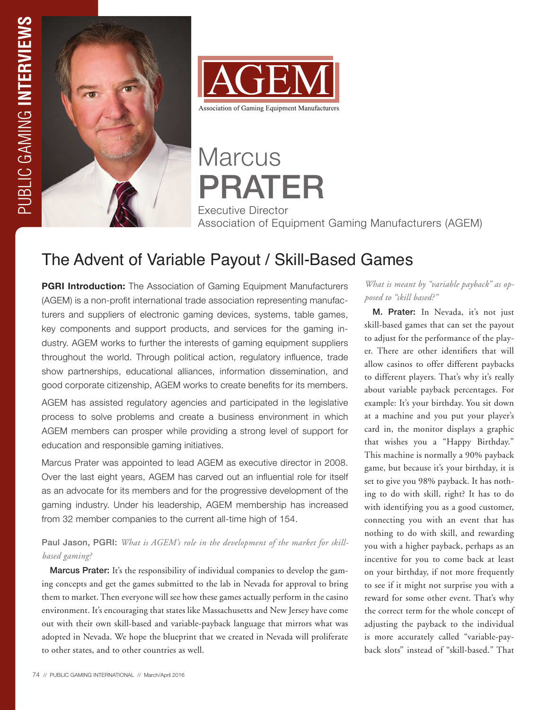



**Marcus** PRATER Executive Director Association of Equipment Gaming Manufacturers (AGEM)

# The Advent of Variable Payout / Skill-Based Games

**PGRI Introduction:** The Association of Gaming Equipment Manufacturers (AGEM) is a non-profit international trade association representing manufacturers and suppliers of electronic gaming devices, systems, table games, key components and support products, and services for the gaming industry. AGEM works to further the interests of gaming equipment suppliers throughout the world. Through political action, regulatory influence, trade show partnerships, educational alliances, information dissemination, and good corporate citizenship, AGEM works to create benefits for its members.

AGEM has assisted regulatory agencies and participated in the legislative process to solve problems and create a business environment in which AGEM members can prosper while providing a strong level of support for education and responsible gaming initiatives.

Marcus Prater was appointed to lead AGEM as executive director in 2008. Over the last eight years, AGEM has carved out an influential role for itself as an advocate for its members and for the progressive development of the gaming industry. Under his leadership, AGEM membership has increased from 32 member companies to the current all-time high of 154.

## Paul Jason, PGRI: *What is AGEM's role in the development of the market for skillbased gaming?*

Marcus Prater: It's the responsibility of individual companies to develop the gaming concepts and get the games submitted to the lab in Nevada for approval to bring them to market. Then everyone will see how these games actually perform in the casino environment. It's encouraging that states like Massachusetts and New Jersey have come out with their own skill-based and variable-payback language that mirrors what was adopted in Nevada. We hope the blueprint that we created in Nevada will proliferate to other states, and to other countries as well.

*What is meant by "variable payback" as opposed to "skill based?"*

M. Prater: In Nevada, it's not just skill-based games that can set the payout to adjust for the performance of the player. There are other identifiers that will allow casinos to offer different paybacks to different players. That's why it's really about variable payback percentages. For example: It's your birthday. You sit down at a machine and you put your player's card in, the monitor displays a graphic that wishes you a "Happy Birthday." This machine is normally a 90% payback game, but because it's your birthday, it is set to give you 98% payback. It has nothing to do with skill, right? It has to do with identifying you as a good customer, connecting you with an event that has nothing to do with skill, and rewarding you with a higher payback, perhaps as an incentive for you to come back at least on your birthday, if not more frequently to see if it might not surprise you with a reward for some other event. That's why the correct term for the whole concept of adjusting the payback to the individual is more accurately called "variable-payback slots" instead of "skill-based." That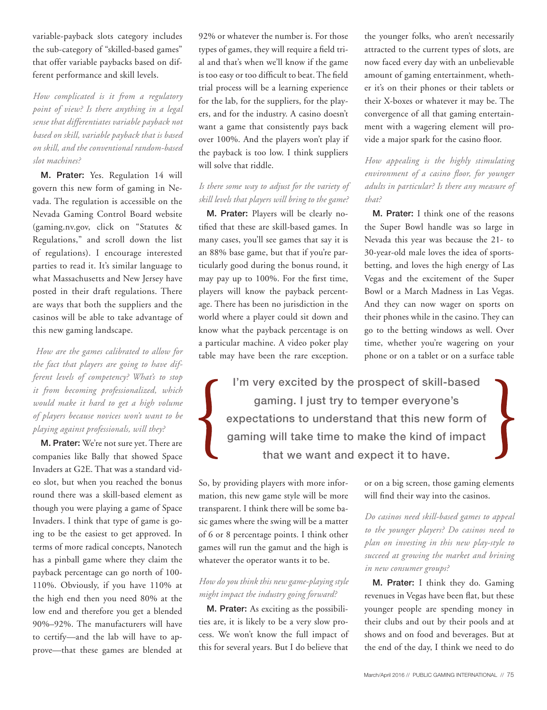variable-payback slots category includes the sub-category of "skilled-based games" that offer variable paybacks based on different performance and skill levels.

*How complicated is it from a regulatory point of view? Is there anything in a legal sense that differentiates variable payback not based on skill, variable payback that is based on skill, and the conventional random-based slot machines?* 

M. Prater: Yes. Regulation 14 will govern this new form of gaming in Nevada. The regulation is accessible on the Nevada Gaming Control Board website (gaming.nv.gov, click on "Statutes & Regulations," and scroll down the list of regulations). I encourage interested parties to read it. It's similar language to what Massachusetts and New Jersey have posted in their draft regulations. There are ways that both the suppliers and the casinos will be able to take advantage of this new gaming landscape.

 *How are the games calibrated to allow for the fact that players are going to have different levels of competency? What's to stop it from becoming professionalized, which would make it hard to get a high volume of players because novices won't want to be playing against professionals, will they?*

M. Prater: We're not sure yet. There are companies like Bally that showed Space Invaders at G2E. That was a standard video slot, but when you reached the bonus round there was a skill-based element as though you were playing a game of Space Invaders. I think that type of game is going to be the easiest to get approved. In terms of more radical concepts, Nanotech has a pinball game where they claim the payback percentage can go north of 100- 110%. Obviously, if you have 110% at the high end then you need 80% at the low end and therefore you get a blended 90%–92%. The manufacturers will have to certify—and the lab will have to approve—that these games are blended at

92% or whatever the number is. For those types of games, they will require a field trial and that's when we'll know if the game is too easy or too difficult to beat. The field trial process will be a learning experience for the lab, for the suppliers, for the players, and for the industry. A casino doesn't want a game that consistently pays back over 100%. And the players won't play if the payback is too low. I think suppliers will solve that riddle.

### *Is there some way to adjust for the variety of skill levels that players will bring to the game?*

M. Prater: Players will be clearly notified that these are skill-based games. In many cases, you'll see games that say it is an 88% base game, but that if you're particularly good during the bonus round, it may pay up to 100%. For the first time, players will know the payback percentage. There has been no jurisdiction in the world where a player could sit down and know what the payback percentage is on a particular machine. A video poker play table may have been the rare exception.

the younger folks, who aren't necessarily attracted to the current types of slots, are now faced every day with an unbelievable amount of gaming entertainment, whether it's on their phones or their tablets or their X-boxes or whatever it may be. The convergence of all that gaming entertainment with a wagering element will provide a major spark for the casino floor.

*How appealing is the highly stimulating environment of a casino floor, for younger adults in particular? Is there any measure of that?* 

M. Prater: I think one of the reasons the Super Bowl handle was so large in Nevada this year was because the 21- to 30-year-old male loves the idea of sportsbetting, and loves the high energy of Las Vegas and the excitement of the Super Bowl or a March Madness in Las Vegas. And they can now wager on sports on their phones while in the casino. They can go to the betting windows as well. Over time, whether you're wagering on your phone or on a tablet or on a surface table

I'm very excited by the prospect of skill-based gaming. I just try to temper everyone's expectations to understand that this new form of gaming will take time to make the kind of impact that we want and expect it to have.

So, by providing players with more information, this new game style will be more transparent. I think there will be some basic games where the swing will be a matter of 6 or 8 percentage points. I think other games will run the gamut and the high is whatever the operator wants it to be.

### *How do you think this new game-playing style might impact the industry going forward?*

M. Prater: As exciting as the possibilities are, it is likely to be a very slow process. We won't know the full impact of this for several years. But I do believe that or on a big screen, those gaming elements will find their way into the casinos.

*Do casinos need skill-based games to appeal to the younger players? Do casinos need to plan on investing in this new play-style to succeed at growing the market and brining in new consumer groups?* 

M. Prater: I think they do. Gaming revenues in Vegas have been flat, but these younger people are spending money in their clubs and out by their pools and at shows and on food and beverages. But at the end of the day, I think we need to do